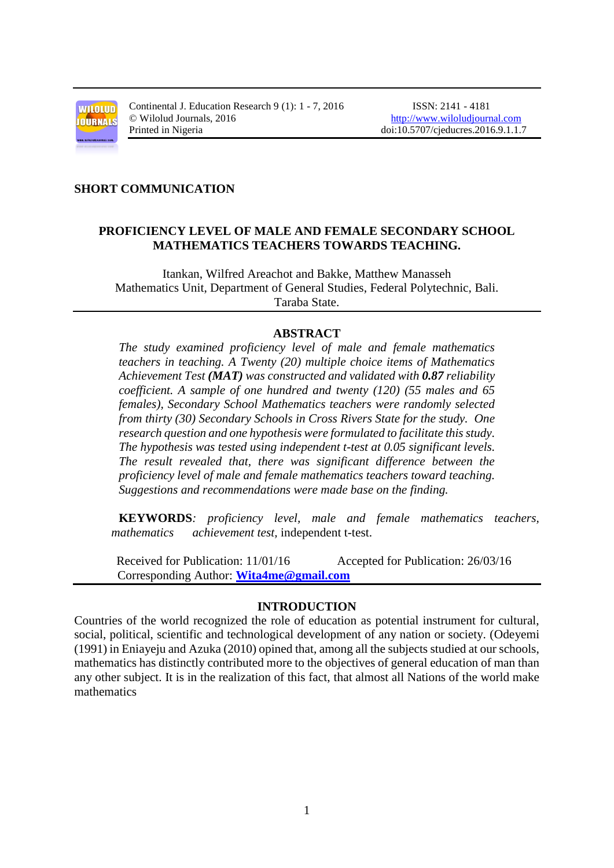

Continental J. Education Research 9 (1): 1 - 7, 2016 ISSN: 2141 - 4181 © Wilolud Journals, 2016 [http://www.wiloludjournal.com](http://www.wiloludjournal.com/) Printed in Nigeria doi:10.5707/cjeducres.2016.9.1.1.7

#### **SHORT COMMUNICATION**

# **PROFICIENCY LEVEL OF MALE AND FEMALE SECONDARY SCHOOL MATHEMATICS TEACHERS TOWARDS TEACHING.**

Itankan, Wilfred Areachot and Bakke, Matthew Manasseh Mathematics Unit, Department of General Studies, Federal Polytechnic, Bali. Taraba State.

## **ABSTRACT**

*The study examined proficiency level of male and female mathematics teachers in teaching. A Twenty (20) multiple choice items of Mathematics Achievement Test (MAT) was constructed and validated with 0.87 reliability coefficient. A sample of one hundred and twenty (120) (55 males and 65 females), Secondary School Mathematics teachers were randomly selected from thirty (30) Secondary Schools in Cross Rivers State for the study. One research question and one hypothesis were formulated to facilitate this study. The hypothesis was tested using independent t-test at 0.05 significant levels. The result revealed that, there was significant difference between the proficiency level of male and female mathematics teachers toward teaching. Suggestions and recommendations were made base on the finding.*

**KEYWORDS***: proficiency level, male and female mathematics teachers, mathematics achievement test,* independent t-test.

 Received for Publication: 11/01/16 Accepted for Publication: 26/03/16 Corresponding Author: **[Wita4me@gmail.com](mailto:Wita4me@gmail.com)**

#### **INTRODUCTION**

Countries of the world recognized the role of education as potential instrument for cultural, social, political, scientific and technological development of any nation or society. (Odeyemi (1991) in Eniayeju and Azuka (2010) opined that, among all the subjects studied at our schools, mathematics has distinctly contributed more to the objectives of general education of man than any other subject. It is in the realization of this fact, that almost all Nations of the world make mathematics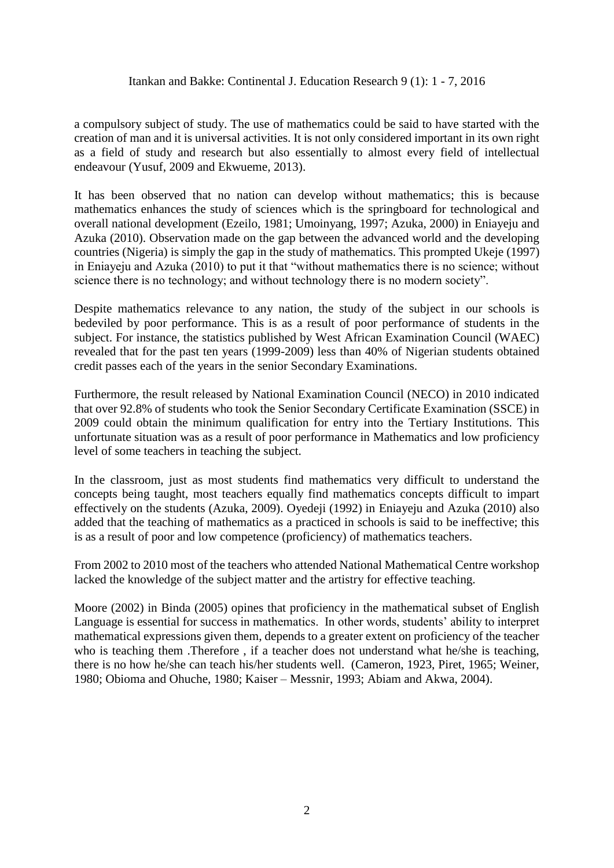a compulsory subject of study. The use of mathematics could be said to have started with the creation of man and it is universal activities. It is not only considered important in its own right as a field of study and research but also essentially to almost every field of intellectual endeavour (Yusuf, 2009 and Ekwueme, 2013).

It has been observed that no nation can develop without mathematics; this is because mathematics enhances the study of sciences which is the springboard for technological and overall national development (Ezeilo, 1981; Umoinyang, 1997; Azuka, 2000) in Eniayeju and Azuka (2010). Observation made on the gap between the advanced world and the developing countries (Nigeria) is simply the gap in the study of mathematics. This prompted Ukeje (1997) in Eniayeju and Azuka (2010) to put it that "without mathematics there is no science; without science there is no technology; and without technology there is no modern society".

Despite mathematics relevance to any nation, the study of the subject in our schools is bedeviled by poor performance. This is as a result of poor performance of students in the subject. For instance, the statistics published by West African Examination Council (WAEC) revealed that for the past ten years (1999-2009) less than 40% of Nigerian students obtained credit passes each of the years in the senior Secondary Examinations.

Furthermore, the result released by National Examination Council (NECO) in 2010 indicated that over 92.8% of students who took the Senior Secondary Certificate Examination (SSCE) in 2009 could obtain the minimum qualification for entry into the Tertiary Institutions. This unfortunate situation was as a result of poor performance in Mathematics and low proficiency level of some teachers in teaching the subject.

In the classroom, just as most students find mathematics very difficult to understand the concepts being taught, most teachers equally find mathematics concepts difficult to impart effectively on the students (Azuka, 2009). Oyedeji (1992) in Eniayeju and Azuka (2010) also added that the teaching of mathematics as a practiced in schools is said to be ineffective; this is as a result of poor and low competence (proficiency) of mathematics teachers.

From 2002 to 2010 most of the teachers who attended National Mathematical Centre workshop lacked the knowledge of the subject matter and the artistry for effective teaching.

Moore (2002) in Binda (2005) opines that proficiency in the mathematical subset of English Language is essential for success in mathematics. In other words, students' ability to interpret mathematical expressions given them, depends to a greater extent on proficiency of the teacher who is teaching them .Therefore, if a teacher does not understand what he/she is teaching, there is no how he/she can teach his/her students well. (Cameron, 1923, Piret, 1965; Weiner, 1980; Obioma and Ohuche, 1980; Kaiser – Messnir, 1993; Abiam and Akwa, 2004).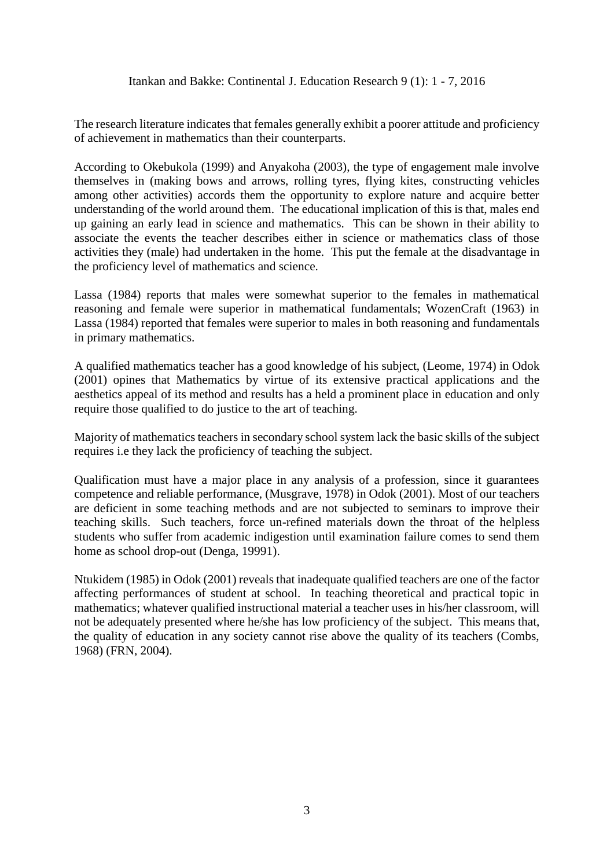The research literature indicates that females generally exhibit a poorer attitude and proficiency of achievement in mathematics than their counterparts.

According to Okebukola (1999) and Anyakoha (2003), the type of engagement male involve themselves in (making bows and arrows, rolling tyres, flying kites, constructing vehicles among other activities) accords them the opportunity to explore nature and acquire better understanding of the world around them. The educational implication of this is that, males end up gaining an early lead in science and mathematics. This can be shown in their ability to associate the events the teacher describes either in science or mathematics class of those activities they (male) had undertaken in the home. This put the female at the disadvantage in the proficiency level of mathematics and science.

Lassa (1984) reports that males were somewhat superior to the females in mathematical reasoning and female were superior in mathematical fundamentals; WozenCraft (1963) in Lassa (1984) reported that females were superior to males in both reasoning and fundamentals in primary mathematics.

A qualified mathematics teacher has a good knowledge of his subject, (Leome, 1974) in Odok (2001) opines that Mathematics by virtue of its extensive practical applications and the aesthetics appeal of its method and results has a held a prominent place in education and only require those qualified to do justice to the art of teaching.

Majority of mathematics teachers in secondary school system lack the basic skills of the subject requires i.e they lack the proficiency of teaching the subject.

Qualification must have a major place in any analysis of a profession, since it guarantees competence and reliable performance, (Musgrave, 1978) in Odok (2001). Most of our teachers are deficient in some teaching methods and are not subjected to seminars to improve their teaching skills. Such teachers, force un-refined materials down the throat of the helpless students who suffer from academic indigestion until examination failure comes to send them home as school drop-out (Denga, 19991).

Ntukidem (1985) in Odok (2001) reveals that inadequate qualified teachers are one of the factor affecting performances of student at school. In teaching theoretical and practical topic in mathematics; whatever qualified instructional material a teacher uses in his/her classroom, will not be adequately presented where he/she has low proficiency of the subject. This means that, the quality of education in any society cannot rise above the quality of its teachers (Combs, 1968) (FRN, 2004).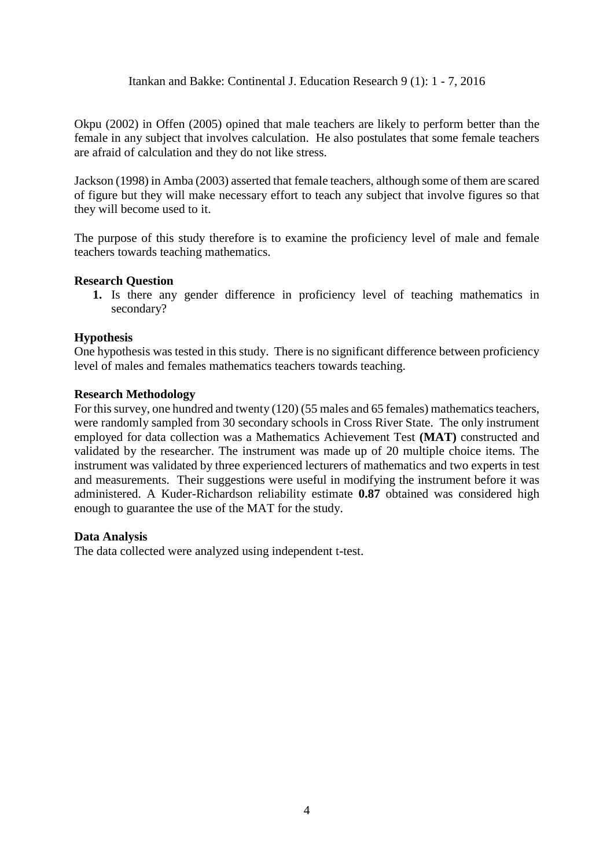Okpu (2002) in Offen (2005) opined that male teachers are likely to perform better than the female in any subject that involves calculation. He also postulates that some female teachers are afraid of calculation and they do not like stress.

Jackson (1998) in Amba (2003) asserted that female teachers, although some of them are scared of figure but they will make necessary effort to teach any subject that involve figures so that they will become used to it.

The purpose of this study therefore is to examine the proficiency level of male and female teachers towards teaching mathematics.

#### **Research Question**

**1.** Is there any gender difference in proficiency level of teaching mathematics in secondary?

#### **Hypothesis**

One hypothesis was tested in this study. There is no significant difference between proficiency level of males and females mathematics teachers towards teaching.

#### **Research Methodology**

For this survey, one hundred and twenty (120) (55 males and 65 females) mathematics teachers, were randomly sampled from 30 secondary schools in Cross River State. The only instrument employed for data collection was a Mathematics Achievement Test **(MAT)** constructed and validated by the researcher. The instrument was made up of 20 multiple choice items. The instrument was validated by three experienced lecturers of mathematics and two experts in test and measurements. Their suggestions were useful in modifying the instrument before it was administered. A Kuder-Richardson reliability estimate **0.87** obtained was considered high enough to guarantee the use of the MAT for the study.

# **Data Analysis**

The data collected were analyzed using independent t-test.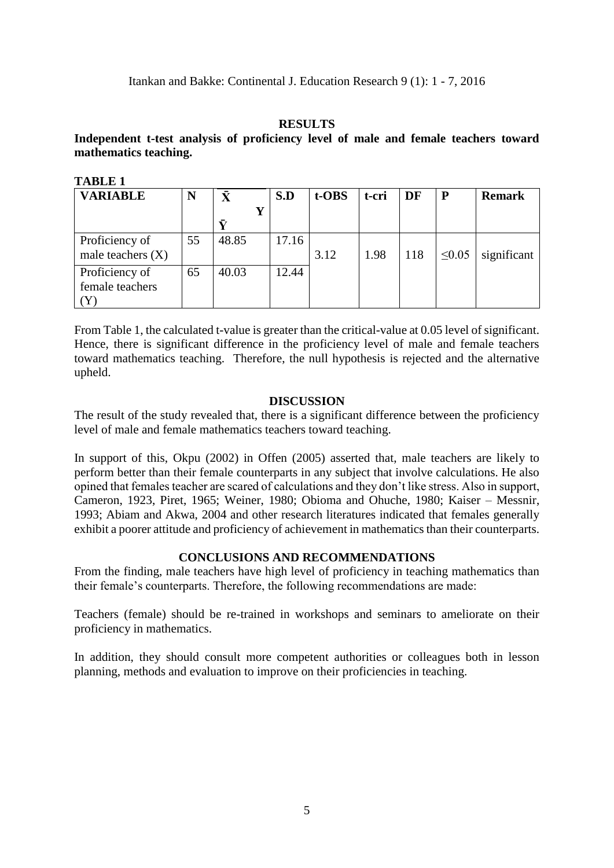#### **RESULTS**

# **Independent t-test analysis of proficiency level of male and female teachers toward mathematics teaching.**

**TABLE 1**

| TADLE 1                               |    |       |       |       |       |     |             |               |
|---------------------------------------|----|-------|-------|-------|-------|-----|-------------|---------------|
| <b>VARIABLE</b>                       | N  | Ā     | S.D   | t-OBS | t-cri | DF  | P           | <b>Remark</b> |
|                                       |    | Ŵ     |       |       |       |     |             |               |
| Proficiency of<br>male teachers $(X)$ | 55 | 48.85 | 17.16 | 3.12  | 1.98  | 118 | $\leq 0.05$ | significant   |
| Proficiency of<br>female teachers     | 65 | 40.03 | 12.44 |       |       |     |             |               |

From Table 1, the calculated t-value is greater than the critical-value at 0.05 level of significant. Hence, there is significant difference in the proficiency level of male and female teachers toward mathematics teaching. Therefore, the null hypothesis is rejected and the alternative upheld.

## **DISCUSSION**

The result of the study revealed that, there is a significant difference between the proficiency level of male and female mathematics teachers toward teaching.

In support of this, Okpu (2002) in Offen (2005) asserted that, male teachers are likely to perform better than their female counterparts in any subject that involve calculations. He also opined that females teacher are scared of calculations and they don't like stress. Also in support, Cameron, 1923, Piret, 1965; Weiner, 1980; Obioma and Ohuche, 1980; Kaiser – Messnir, 1993; Abiam and Akwa, 2004 and other research literatures indicated that females generally exhibit a poorer attitude and proficiency of achievement in mathematics than their counterparts.

# **CONCLUSIONS AND RECOMMENDATIONS**

From the finding, male teachers have high level of proficiency in teaching mathematics than their female's counterparts. Therefore, the following recommendations are made:

Teachers (female) should be re-trained in workshops and seminars to ameliorate on their proficiency in mathematics.

In addition, they should consult more competent authorities or colleagues both in lesson planning, methods and evaluation to improve on their proficiencies in teaching.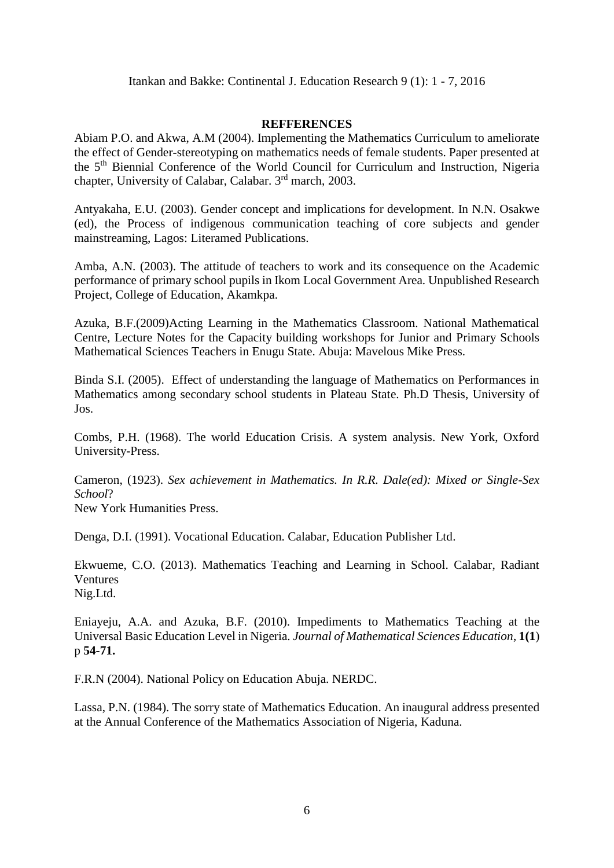#### **REFFERENCES**

Abiam P.O. and Akwa, A.M (2004). Implementing the Mathematics Curriculum to ameliorate the effect of Gender-stereotyping on mathematics needs of female students. Paper presented at the 5th Biennial Conference of the World Council for Curriculum and Instruction, Nigeria chapter, University of Calabar, Calabar. 3<sup>rd</sup> march, 2003.

Antyakaha, E.U. (2003). Gender concept and implications for development. In N.N. Osakwe (ed), the Process of indigenous communication teaching of core subjects and gender mainstreaming, Lagos: Literamed Publications.

Amba, A.N. (2003). The attitude of teachers to work and its consequence on the Academic performance of primary school pupils in Ikom Local Government Area. Unpublished Research Project, College of Education, Akamkpa.

Azuka, B.F.(2009)Acting Learning in the Mathematics Classroom. National Mathematical Centre, Lecture Notes for the Capacity building workshops for Junior and Primary Schools Mathematical Sciences Teachers in Enugu State. Abuja: Mavelous Mike Press.

Binda S.I. (2005). Effect of understanding the language of Mathematics on Performances in Mathematics among secondary school students in Plateau State. Ph.D Thesis, University of Jos.

Combs, P.H. (1968). The world Education Crisis. A system analysis. New York, Oxford University-Press.

Cameron, (1923). *Sex achievement in Mathematics. In R.R. Dale(ed): Mixed or Single-Sex School*?

New York Humanities Press.

Denga, D.I. (1991). Vocational Education. Calabar, Education Publisher Ltd.

Ekwueme, C.O. (2013). Mathematics Teaching and Learning in School. Calabar, Radiant Ventures Nig.Ltd.

Eniayeju, A.A. and Azuka, B.F. (2010). Impediments to Mathematics Teaching at the Universal Basic Education Level in Nigeria. *Journal of Mathematical Sciences Education*, **1(1**) p **54-71.**

F.R.N (2004). National Policy on Education Abuja. NERDC.

Lassa, P.N. (1984). The sorry state of Mathematics Education. An inaugural address presented at the Annual Conference of the Mathematics Association of Nigeria, Kaduna.